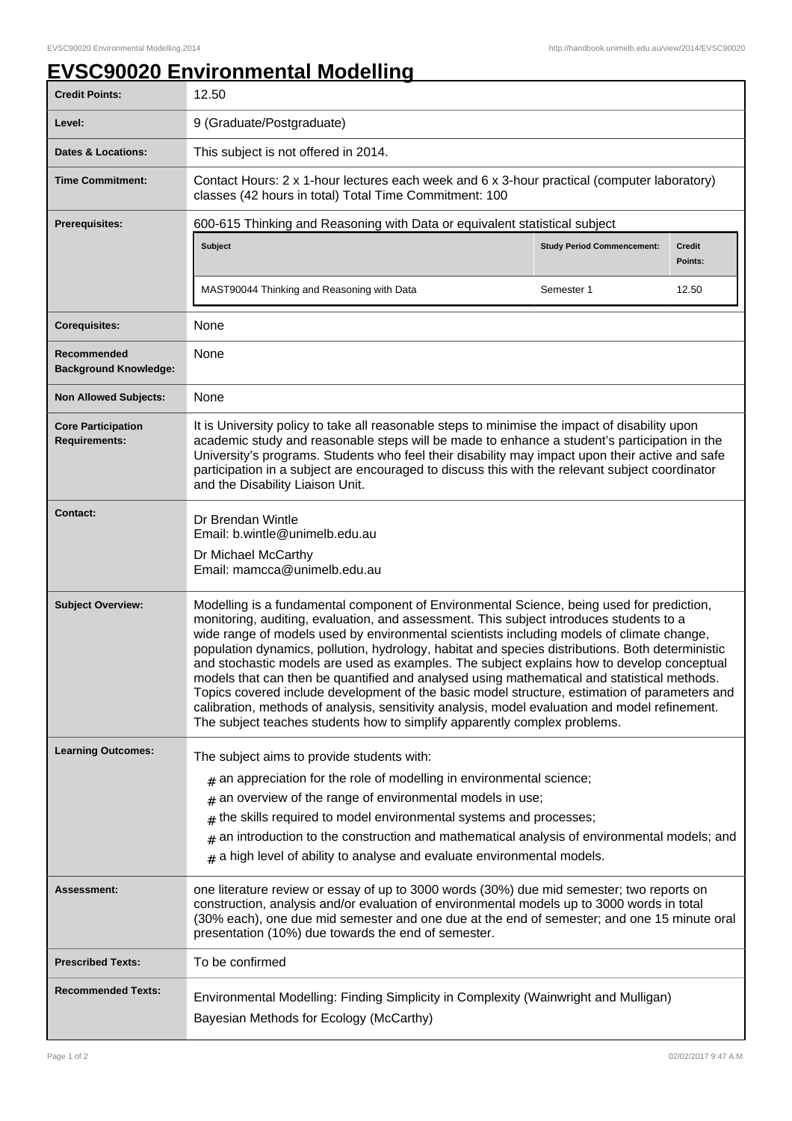## **EVSC90020 Environmental Modelling**

| <b>Credit Points:</b>                             | 12.50                                                                                                                                                                                                                                                                                                                                                                                                                                                                                                                                                                                                                                                                                                                                                                                                                                                              |                                   |                          |
|---------------------------------------------------|--------------------------------------------------------------------------------------------------------------------------------------------------------------------------------------------------------------------------------------------------------------------------------------------------------------------------------------------------------------------------------------------------------------------------------------------------------------------------------------------------------------------------------------------------------------------------------------------------------------------------------------------------------------------------------------------------------------------------------------------------------------------------------------------------------------------------------------------------------------------|-----------------------------------|--------------------------|
| Level:                                            | 9 (Graduate/Postgraduate)                                                                                                                                                                                                                                                                                                                                                                                                                                                                                                                                                                                                                                                                                                                                                                                                                                          |                                   |                          |
| <b>Dates &amp; Locations:</b>                     | This subject is not offered in 2014.                                                                                                                                                                                                                                                                                                                                                                                                                                                                                                                                                                                                                                                                                                                                                                                                                               |                                   |                          |
| <b>Time Commitment:</b>                           | Contact Hours: 2 x 1-hour lectures each week and 6 x 3-hour practical (computer laboratory)<br>classes (42 hours in total) Total Time Commitment: 100                                                                                                                                                                                                                                                                                                                                                                                                                                                                                                                                                                                                                                                                                                              |                                   |                          |
| <b>Prerequisites:</b>                             | 600-615 Thinking and Reasoning with Data or equivalent statistical subject                                                                                                                                                                                                                                                                                                                                                                                                                                                                                                                                                                                                                                                                                                                                                                                         |                                   |                          |
|                                                   | <b>Subject</b>                                                                                                                                                                                                                                                                                                                                                                                                                                                                                                                                                                                                                                                                                                                                                                                                                                                     | <b>Study Period Commencement:</b> | <b>Credit</b><br>Points: |
|                                                   | MAST90044 Thinking and Reasoning with Data                                                                                                                                                                                                                                                                                                                                                                                                                                                                                                                                                                                                                                                                                                                                                                                                                         | Semester 1                        | 12.50                    |
| <b>Corequisites:</b>                              | None                                                                                                                                                                                                                                                                                                                                                                                                                                                                                                                                                                                                                                                                                                                                                                                                                                                               |                                   |                          |
| Recommended<br><b>Background Knowledge:</b>       | None                                                                                                                                                                                                                                                                                                                                                                                                                                                                                                                                                                                                                                                                                                                                                                                                                                                               |                                   |                          |
| <b>Non Allowed Subjects:</b>                      | None                                                                                                                                                                                                                                                                                                                                                                                                                                                                                                                                                                                                                                                                                                                                                                                                                                                               |                                   |                          |
| <b>Core Participation</b><br><b>Requirements:</b> | It is University policy to take all reasonable steps to minimise the impact of disability upon<br>academic study and reasonable steps will be made to enhance a student's participation in the<br>University's programs. Students who feel their disability may impact upon their active and safe<br>participation in a subject are encouraged to discuss this with the relevant subject coordinator<br>and the Disability Liaison Unit.                                                                                                                                                                                                                                                                                                                                                                                                                           |                                   |                          |
| <b>Contact:</b>                                   | Dr Brendan Wintle<br>Email: b.wintle@unimelb.edu.au<br>Dr Michael McCarthy<br>Email: mamcca@unimelb.edu.au                                                                                                                                                                                                                                                                                                                                                                                                                                                                                                                                                                                                                                                                                                                                                         |                                   |                          |
| <b>Subject Overview:</b>                          | Modelling is a fundamental component of Environmental Science, being used for prediction,<br>monitoring, auditing, evaluation, and assessment. This subject introduces students to a<br>wide range of models used by environmental scientists including models of climate change,<br>population dynamics, pollution, hydrology, habitat and species distributions. Both deterministic<br>and stochastic models are used as examples. The subject explains how to develop conceptual<br>models that can then be quantified and analysed using mathematical and statistical methods.<br>Topics covered include development of the basic model structure, estimation of parameters and<br>calibration, methods of analysis, sensitivity analysis, model evaluation and model refinement.<br>The subject teaches students how to simplify apparently complex problems. |                                   |                          |
| <b>Learning Outcomes:</b>                         | The subject aims to provide students with:                                                                                                                                                                                                                                                                                                                                                                                                                                                                                                                                                                                                                                                                                                                                                                                                                         |                                   |                          |
|                                                   | $#$ an appreciation for the role of modelling in environmental science;                                                                                                                                                                                                                                                                                                                                                                                                                                                                                                                                                                                                                                                                                                                                                                                            |                                   |                          |
|                                                   | an overview of the range of environmental models in use;<br>#<br>the skills required to model environmental systems and processes;                                                                                                                                                                                                                                                                                                                                                                                                                                                                                                                                                                                                                                                                                                                                 |                                   |                          |
|                                                   | #<br>an introduction to the construction and mathematical analysis of environmental models; and<br>$\#$                                                                                                                                                                                                                                                                                                                                                                                                                                                                                                                                                                                                                                                                                                                                                            |                                   |                          |
|                                                   | a high level of ability to analyse and evaluate environmental models.<br>#                                                                                                                                                                                                                                                                                                                                                                                                                                                                                                                                                                                                                                                                                                                                                                                         |                                   |                          |
| Assessment:                                       | one literature review or essay of up to 3000 words (30%) due mid semester; two reports on<br>construction, analysis and/or evaluation of environmental models up to 3000 words in total<br>(30% each), one due mid semester and one due at the end of semester; and one 15 minute oral<br>presentation (10%) due towards the end of semester.                                                                                                                                                                                                                                                                                                                                                                                                                                                                                                                      |                                   |                          |
| <b>Prescribed Texts:</b>                          | To be confirmed                                                                                                                                                                                                                                                                                                                                                                                                                                                                                                                                                                                                                                                                                                                                                                                                                                                    |                                   |                          |
| <b>Recommended Texts:</b>                         | Environmental Modelling: Finding Simplicity in Complexity (Wainwright and Mulligan)<br>Bayesian Methods for Ecology (McCarthy)                                                                                                                                                                                                                                                                                                                                                                                                                                                                                                                                                                                                                                                                                                                                     |                                   |                          |